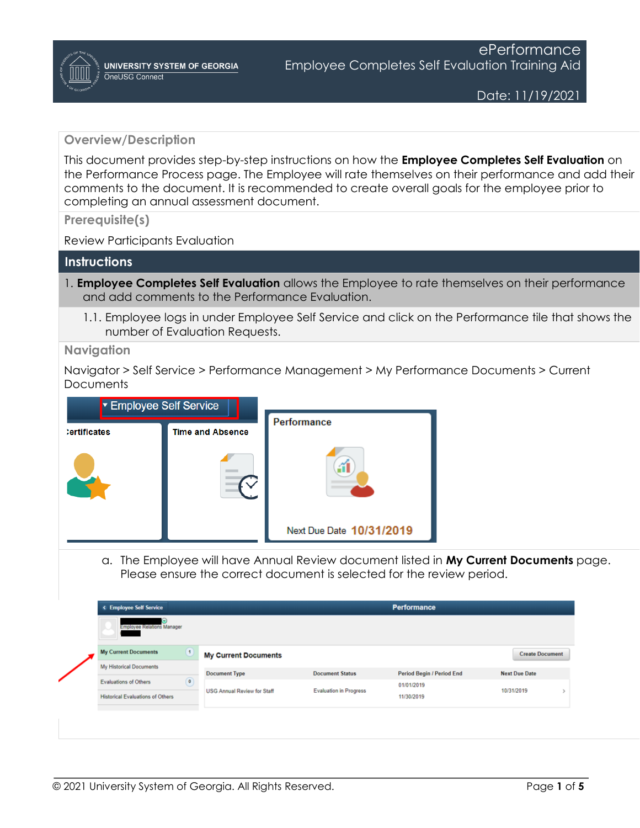### **Overview/Description**

This document provides step-by-step instructions on how the **Employee Completes Self Evaluation** on the Performance Process page. The Employee will rate themselves on their performance and add their comments to the document. It is recommended to create overall goals for the employee prior to completing an annual assessment document.

**Prerequisite(s)**

Review Participants Evaluation

#### **Instructions**

- 1. **Employee Completes Self Evaluation** allows the Employee to rate themselves on their performance and add comments to the Performance Evaluation.
	- 1.1. Employee logs in under Employee Self Service and click on the Performance tile that shows the number of Evaluation Requests.

**Navigation**

Navigator > Self Service > Performance Management > My Performance Documents > Current **Documents** 



a. The Employee will have Annual Review document listed in **My Current Documents** page. Please ensure the correct document is selected for the review period.

| < Employee Self Service                 |                            |                                    |                               | Performance               |                        |  |
|-----------------------------------------|----------------------------|------------------------------------|-------------------------------|---------------------------|------------------------|--|
| Э<br><b>Employee Relations Manager</b>  |                            |                                    |                               |                           |                        |  |
| <b>My Current Documents</b>             | $\left( \mathbf{1}\right)$ | <b>My Current Documents</b>        |                               |                           | <b>Create Document</b> |  |
| My Historical Documents                 |                            |                                    | <b>Document Status</b>        |                           | <b>Next Due Date</b>   |  |
| <b>Evaluations of Others</b>            | $\bullet$                  | <b>Document Type</b>               |                               | Period Begin / Period End |                        |  |
|                                         |                            | <b>USG Annual Review for Staff</b> | <b>Evaluation in Progress</b> | 01/01/2019                | 10/31/2019             |  |
| <b>Historical Evaluations of Others</b> |                            |                                    |                               | 11/30/2019                |                        |  |
|                                         |                            |                                    |                               |                           |                        |  |
|                                         |                            |                                    |                               |                           |                        |  |
|                                         |                            |                                    |                               |                           |                        |  |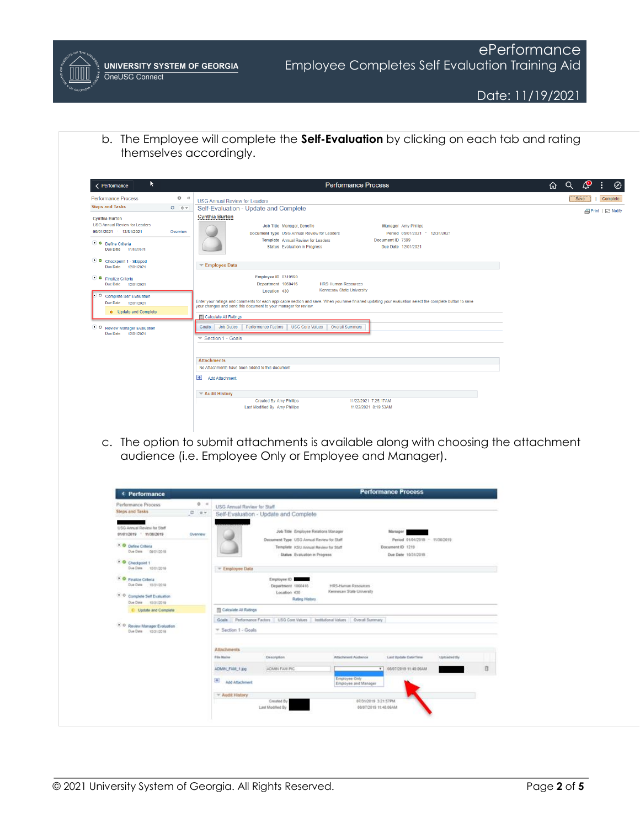b. The Employee will complete the **Self-Evaluation** by clicking on each tab and rating themselves accordingly.

| R.<br>< Performance                                                                                                                                              |                 | <b>Performance Process</b>                                                                                                                                                                                                                                                                                                                                                                   | ⇧ | $\alpha$ | <b>Ay</b>   | $\oslash$<br>÷                        |
|------------------------------------------------------------------------------------------------------------------------------------------------------------------|-----------------|----------------------------------------------------------------------------------------------------------------------------------------------------------------------------------------------------------------------------------------------------------------------------------------------------------------------------------------------------------------------------------------------|---|----------|-------------|---------------------------------------|
| <b>Performance Process</b><br><b>Steps and Tasks</b>                                                                                                             | 0<<br>$C = 0 -$ | <b>USG Annual Review for Leaders</b><br>Self-Evaluation - Update and Complete                                                                                                                                                                                                                                                                                                                |   |          | <b>Save</b> | Complete<br><b>A</b> Print   □ Notify |
| <b>Cynthia Burton</b><br><b>USG Annual Review for Leaders</b><br>06/01/2021 12/31/2021<br>O O Define Criteria<br>Due Date 11/16/2021<br>C Checkpoint 1 - Skipped | Overview        | <b>Cynthia Burton</b><br>Job Title Manager, Benefits<br>Manager Amy Phillips<br>Document Type USG Annual Review for Leaders<br>Period 06/01/2021 - 12/31/2021<br>Document ID 7599<br>Template Annual Review for Leaders<br><b>Status</b> Evaluation in Progress<br>Due Date 12/01/2021<br>$\overline{\phantom{a}}$ Employee Data                                                             |   |          |             |                                       |
| Due Date 12/01/2021<br>● Finalize Criteria<br>Due Date 12/01/2021<br>Complete Self Evaluation<br>Due Date 12/01/2021<br>• Update and Complete                    |                 | Employee ID 0319590<br>Department 1060416<br><b>HRS-Human Resources</b><br>Kennesaw State University<br>Location 430<br>Enter your ratings and comments for each applicable section and save. When you have finished updating your evaluation select the complete button to save<br>your changes and send this document to your manager for review.<br><b>Religion</b> Calculate All Ratings |   |          |             |                                       |
| $\bullet$ o<br><b>Review Manager Evaluation</b><br>Due Date<br>12/01/2021                                                                                        |                 | <b>Job Duties</b><br>Performance Factors<br><b>USG Core Values</b><br><b>Overall Summary</b><br>Goals<br>$\blacktriangledown$ Section 1 - Goals<br><b>Attachments</b>                                                                                                                                                                                                                        |   |          |             |                                       |
|                                                                                                                                                                  |                 | No Attachments have been added to this document<br>E.<br><b>Add Attachment</b>                                                                                                                                                                                                                                                                                                               |   |          |             |                                       |
|                                                                                                                                                                  |                 | ▼ Audit History<br><b>Created By Amy Phillips</b><br>11/22/2021 7:25:17AM<br>Last Modified By Amy Phillips<br>11/22/2021 8:19:53AM                                                                                                                                                                                                                                                           |   |          |             |                                       |

c. The option to submit attachments is available along with choosing the attachment audience (i.e. Employee Only or Employee and Manager).

| Performance Process                                                                                                      | 0.14<br><b>USG Annual Review for Staff</b>       |                                                                                                                                                              |                                                  |                                                                                       |             |   |
|--------------------------------------------------------------------------------------------------------------------------|--------------------------------------------------|--------------------------------------------------------------------------------------------------------------------------------------------------------------|--------------------------------------------------|---------------------------------------------------------------------------------------|-------------|---|
| Steps and Tasks                                                                                                          | $0 - 0 +$                                        | Self-Evaluation - Update and Complete.                                                                                                                       |                                                  |                                                                                       |             |   |
| USG Annual Review for Staff<br>01/01/2019 11/30/2019<br><b>O</b> Define Criteria<br>Due Date 09/01/2019                  | Overview.                                        | Job Title Employee Relations Manager<br>Document Type: USG Annual Review for Staff<br>Template ICSU Annual Review for Staff<br>Status Evaluation in Progress |                                                  | Martager<br>Period 01/01/2019 - 11/30/2019<br>Document ID 1219<br>Due Date 10/31/2019 |             |   |
| · O Checkpoint 1<br>Due Date 15/01/2019                                                                                  | = Employee Data                                  |                                                                                                                                                              |                                                  |                                                                                       |             |   |
| <sup>*</sup> O Finalize Coleria<br>Due Date 10/21/2018<br><sup>*</sup> O Complete Self Evaluation<br>Ove Date #5/31/2019 |                                                  | Employee ID<br>_<br>Department 1060416<br>Location 430<br>Rating History.                                                                                    | HRS-Human Resources<br>Kennesaw State University |                                                                                       |             |   |
| C Update and Complete                                                                                                    | <b>TI Calculate All Ratings</b>                  |                                                                                                                                                              |                                                  |                                                                                       |             |   |
| . O Review Manager Evaluation<br>Due Date 15/31/2019                                                                     | Goals Performance Factors<br>* Section 1 - Goals | USG Core Values                                                                                                                                              | Institutional Values<br>Overall Summary          |                                                                                       |             |   |
|                                                                                                                          | <b>Attachments</b>                               |                                                                                                                                                              |                                                  |                                                                                       |             |   |
|                                                                                                                          | Film Name                                        | Description                                                                                                                                                  | <b>Attachment Audience</b>                       | Laut Update Date/Time                                                                 | Uploaded By |   |
|                                                                                                                          | ADMIN FAM 1.jpg                                  | ADMIN FAM PIC                                                                                                                                                |                                                  | 05/07/2019 11:45:06AM<br>$\overline{\phantom{a}}$                                     |             | ñ |
|                                                                                                                          | Œ.<br>Add Attachment                             |                                                                                                                                                              | Employee Only<br>Employee and Manager            |                                                                                       |             |   |
|                                                                                                                          | * Audit History                                  |                                                                                                                                                              |                                                  |                                                                                       |             |   |
|                                                                                                                          |                                                  | Created By<br>Last Modified By                                                                                                                               |                                                  | 07/31/2019 3:21 57PM<br>06/07/2019 11:48 06AM                                         |             |   |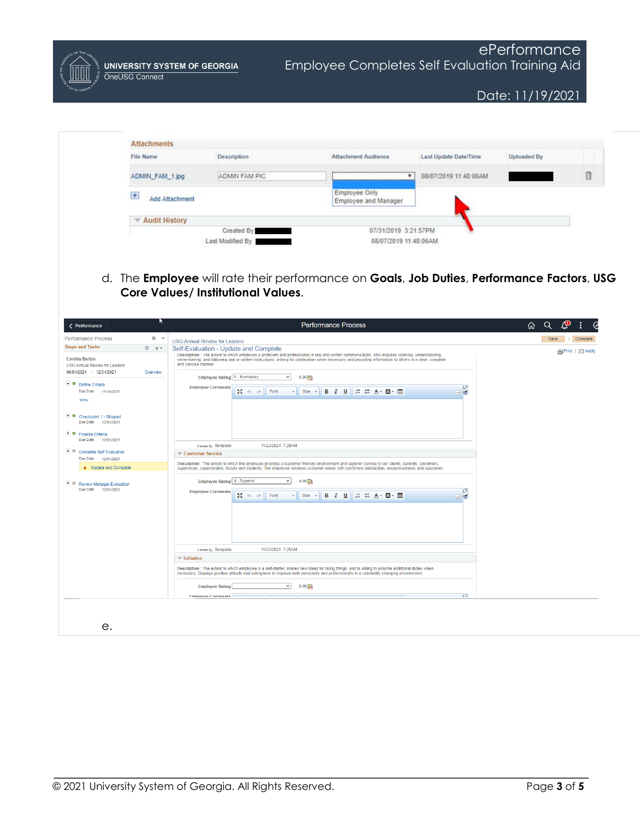**UNIVERSITY SYSTEM OF GEORGIA** OneUSG Connect

Date: 11/19/2021

| File Name               | Description                                            | <b>Attachment Audience</b>            | Last Update Date/Time | <b>Uploaded By</b> |
|-------------------------|--------------------------------------------------------|---------------------------------------|-----------------------|--------------------|
| ADMIN_FAM_1.jpg         | ADMIN FAM PIC                                          | $\mathbf{v}$                          | 08/07/2019 11:48:06AM |                    |
| $\pm$<br>Add Attachment |                                                        | Employee Only<br>Employee and Manager |                       |                    |
| Audit History           |                                                        |                                       |                       |                    |
|                         | Created By                                             | 07/31/2019 3:21:57PM                  |                       |                    |
|                         | Last Modified By<br>and the property of the control of | 08/07/2019 11:48:06AM                 |                       |                    |

d. The **Employee** will rate their performance on **Goals**, **Job Duties**, **Performance Factors**, **USG Core Values/ Institutional Values**.

| < Performance                                                                                                                                                                                                                                                                                                                                                               | R         | <b>Performance Process</b>                                                                                                                                                                                                                                                                                                                                                                                                                                                                                                                                                                                                                                                                                                                                                                                                                                                                                                                                                                                                                                                                                                                                    | Q<br>⋒<br>Ò              |
|-----------------------------------------------------------------------------------------------------------------------------------------------------------------------------------------------------------------------------------------------------------------------------------------------------------------------------------------------------------------------------|-----------|---------------------------------------------------------------------------------------------------------------------------------------------------------------------------------------------------------------------------------------------------------------------------------------------------------------------------------------------------------------------------------------------------------------------------------------------------------------------------------------------------------------------------------------------------------------------------------------------------------------------------------------------------------------------------------------------------------------------------------------------------------------------------------------------------------------------------------------------------------------------------------------------------------------------------------------------------------------------------------------------------------------------------------------------------------------------------------------------------------------------------------------------------------------|--------------------------|
| Performance Process                                                                                                                                                                                                                                                                                                                                                         | 0 <       | <b>USG Annual Review for Leaders</b>                                                                                                                                                                                                                                                                                                                                                                                                                                                                                                                                                                                                                                                                                                                                                                                                                                                                                                                                                                                                                                                                                                                          | Save<br>Complete         |
| <b>Steps and Tasks</b>                                                                                                                                                                                                                                                                                                                                                      | $C = 0 -$ | Self-Evaluation - Update and Complete                                                                                                                                                                                                                                                                                                                                                                                                                                                                                                                                                                                                                                                                                                                                                                                                                                                                                                                                                                                                                                                                                                                         |                          |
| Cynthia Burton<br>USG Annual Review for Leaders<br>06/01/2021 - 12/31/2021<br>O Define Criteria<br>Due Date<br>11/16/2021<br>View<br>C Checkpoint 1 - Skipped<br>Due Date<br>12/01/2021<br>⊙ C Finalize Criteria<br>Due Date 12/01/2021<br>O Complete Self Evaluation<br>Due Date 12/01/2021<br>• Update and Complete<br>O Review Manager Evaluation<br>Due Date 12/01/2021 | Overview  | Description : The extent to which employee is proficient and professional in oral and written communication. This includes listening, understanding,<br>remembering, and following oral or written instructions; asking for clarification when necessary and providing information to others in a clear, complete<br>and concise manner.<br>Employee Rating 5 - Exemplary<br>$\vee$<br>$5.00$ 融<br>ŀД<br><b>Employee Comments</b><br>$\mathbb{S}^n$ $\Rightarrow$ $\Rightarrow$<br><b>B</b> $I$ <b>U</b> $E$ $\equiv$ $A - B - \Box$<br>Font<br>$\cdot$ Size $\cdot$<br>日感<br>11/22/2021 7:25AM<br>Created By Template<br>Customer Service<br>Description : The extent to which the employee provides a customer friendly environment and superior service to our clients, patients, coworkers,<br>supervisors, subordinates, faculty and students. The employee resolves customer needs with confirmed satisfaction, responsiveness, and outcomes.<br>Employee Rating 4 - Superior<br>4.00 四<br>$\checkmark$<br>回<br><b>Employee Comments</b><br>関係の<br>Font<br>$Size -$<br>口感<br>$\cdot$<br>11/22/2021 7:25AM<br>Created By Template<br>$\equiv$ Initiative | <b>■Print</b>   □ Notify |
|                                                                                                                                                                                                                                                                                                                                                                             |           | Description : The extent to which employee is a self-starter, shares new ideas for doing things, and is willing to assume additional duties when<br>necessary. Displays positive attitude and willingness to improve both personally and professionally in a constantly changing environment.                                                                                                                                                                                                                                                                                                                                                                                                                                                                                                                                                                                                                                                                                                                                                                                                                                                                 |                          |
|                                                                                                                                                                                                                                                                                                                                                                             |           | $\checkmark$<br>$0.00$ 肥<br><b>Employee Rating</b>                                                                                                                                                                                                                                                                                                                                                                                                                                                                                                                                                                                                                                                                                                                                                                                                                                                                                                                                                                                                                                                                                                            |                          |
|                                                                                                                                                                                                                                                                                                                                                                             |           | E<br><b>Employee Comments</b>                                                                                                                                                                                                                                                                                                                                                                                                                                                                                                                                                                                                                                                                                                                                                                                                                                                                                                                                                                                                                                                                                                                                 |                          |
|                                                                                                                                                                                                                                                                                                                                                                             |           |                                                                                                                                                                                                                                                                                                                                                                                                                                                                                                                                                                                                                                                                                                                                                                                                                                                                                                                                                                                                                                                                                                                                                               |                          |

e.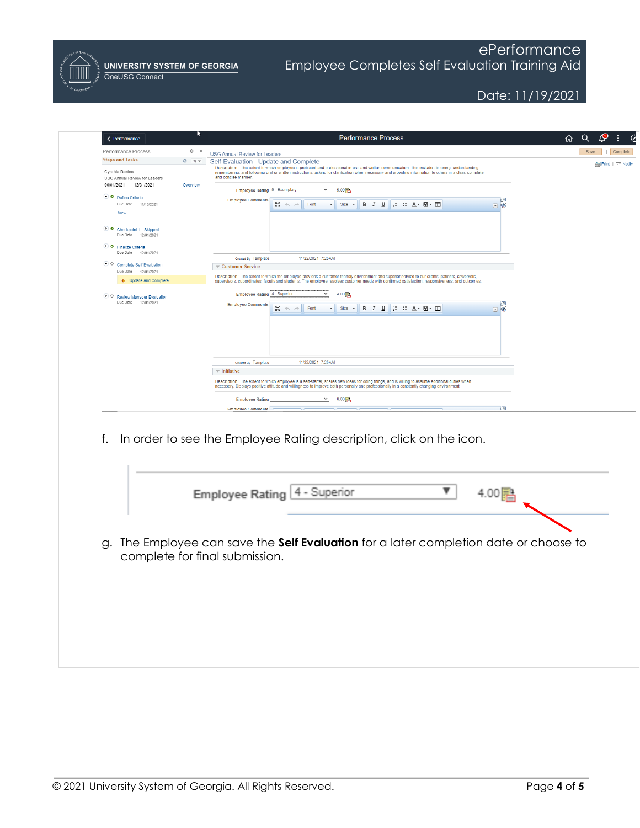

# ePerformance Employee Completes Self Evaluation Training Aid

## Date: 11/19/2021

| < Performance                                                              |           | <b>Performance Process</b>                                                                                                                                                                                                                                                                                                                                                                    | Δ<br>н<br>Q<br>$\cal G$<br>⋒ |
|----------------------------------------------------------------------------|-----------|-----------------------------------------------------------------------------------------------------------------------------------------------------------------------------------------------------------------------------------------------------------------------------------------------------------------------------------------------------------------------------------------------|------------------------------|
| Performance Process                                                        | $Q = 0$   | <b>USG Annual Review for Leaders</b>                                                                                                                                                                                                                                                                                                                                                          | Complete<br>Save             |
| <b>Steps and Tasks</b>                                                     | $C = 0 -$ | Self-Evaluation - Update and Complete                                                                                                                                                                                                                                                                                                                                                         | <b></b> Print   □ Notify     |
| Cynthia Burton<br>USG Annual Review for Leaders<br>06/01/2021 - 12/31/2021 | Overview  | Description : The extent to which employee is proficient and professional in oral and written communication. This includes listening, understanding,<br>remembering, and following oral or written instructions; asking for clarification when necessary and providing information to others in a clear, complete<br>and concise manner.<br>Employee Rating 5 - Exemplary<br>$\vee$<br>5.00 融 |                              |
| O O Define Criteria                                                        |           |                                                                                                                                                                                                                                                                                                                                                                                               |                              |
| Due Date<br>11/16/2021<br>View                                             |           | <b>Employee Comments</b><br>$\sqrt{2}$<br>$\mathbb{N} \twoheadrightarrow \mathbb{R}$<br><b>B</b> <i>I</i> U = = = A · 四 · ⊞<br>Font<br>$Size -$<br>国家                                                                                                                                                                                                                                         |                              |
| C Checkpoint 1 - Skipped<br>Due Date 12/01/2021<br>⊙ C Finalize Criteria   |           |                                                                                                                                                                                                                                                                                                                                                                                               |                              |
| Due Date 12/01/2021                                                        |           |                                                                                                                                                                                                                                                                                                                                                                                               |                              |
| C O Complete Self Evaluation                                               |           | 11/22/2021 7:25AM<br>Created By Template<br>Customer Service                                                                                                                                                                                                                                                                                                                                  |                              |
| Due Date 12/01/2021                                                        |           |                                                                                                                                                                                                                                                                                                                                                                                               |                              |
| • Update and Complete                                                      |           | Description : The extent to which the employee provides a customer friendly environment and superior service to our clients, patients, coworkers,<br>supervisors, subordinates, faculty and students. The employee resolves customer needs with confirmed satisfaction, responsiveness, and outcomes.                                                                                         |                              |
| © O Review Manager Evaluation<br>Due Date 12/01/2021                       |           | Employee Rating 4 - Superior<br>4.00 四<br>$\checkmark$<br>$\sqrt{2}$<br><b>Employee Comments</b><br>認める<br>Font<br>$Size +$<br>国家                                                                                                                                                                                                                                                             |                              |
|                                                                            |           | 11/22/2021 7:25AM<br>Created By Template                                                                                                                                                                                                                                                                                                                                                      |                              |
|                                                                            |           | $=$ Initiative                                                                                                                                                                                                                                                                                                                                                                                |                              |
|                                                                            |           | Description : The extent to which employee is a self-starter, shares new ideas for doing things, and is willing to assume additional duties when<br>necessary. Displays positive attitude and willingness to improve both personally and professionally in a constantly changing environment.                                                                                                 |                              |
|                                                                            |           | <b>Employee Rating</b><br>$\vee$<br>$0.00$ 星<br>$\sqrt{2}$                                                                                                                                                                                                                                                                                                                                    |                              |

|                                |  |  | Employee Rating 4 - Superior |  |  |                                                                                    |  |
|--------------------------------|--|--|------------------------------|--|--|------------------------------------------------------------------------------------|--|
|                                |  |  |                              |  |  |                                                                                    |  |
|                                |  |  |                              |  |  |                                                                                    |  |
|                                |  |  |                              |  |  |                                                                                    |  |
| complete for final submission. |  |  |                              |  |  | The Employee can save the Self Evaluation for a later completion date or choose to |  |
|                                |  |  |                              |  |  |                                                                                    |  |
| g.                             |  |  |                              |  |  |                                                                                    |  |